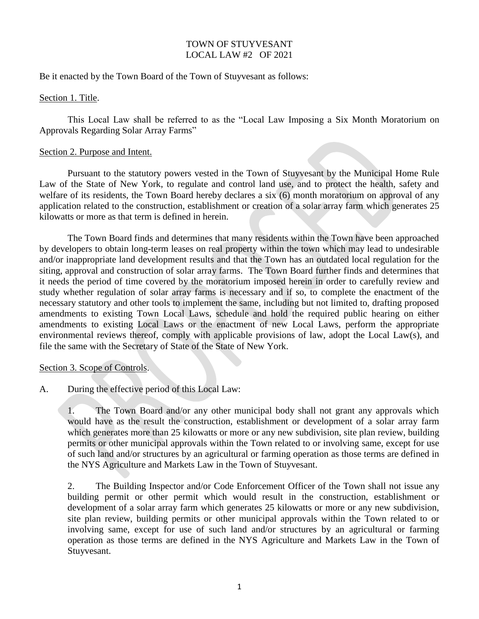# TOWN OF STUYVESANT LOCAL LAW #2 OF 2021

Be it enacted by the Town Board of the Town of Stuyvesant as follows:

Section 1. Title.

This Local Law shall be referred to as the "Local Law Imposing a Six Month Moratorium on Approvals Regarding Solar Array Farms"

## Section 2. Purpose and Intent.

Pursuant to the statutory powers vested in the Town of Stuyvesant by the Municipal Home Rule Law of the State of New York, to regulate and control land use, and to protect the health, safety and welfare of its residents, the Town Board hereby declares a six (6) month moratorium on approval of any application related to the construction, establishment or creation of a solar array farm which generates 25 kilowatts or more as that term is defined in herein.

The Town Board finds and determines that many residents within the Town have been approached by developers to obtain long-term leases on real property within the town which may lead to undesirable and/or inappropriate land development results and that the Town has an outdated local regulation for the siting, approval and construction of solar array farms. The Town Board further finds and determines that it needs the period of time covered by the moratorium imposed herein in order to carefully review and study whether regulation of solar array farms is necessary and if so, to complete the enactment of the necessary statutory and other tools to implement the same, including but not limited to, drafting proposed amendments to existing Town Local Laws, schedule and hold the required public hearing on either amendments to existing Local Laws or the enactment of new Local Laws, perform the appropriate environmental reviews thereof, comply with applicable provisions of law, adopt the Local Law(s), and file the same with the Secretary of State of the State of New York.

### Section 3. Scope of Controls.

A. During the effective period of this Local Law:

1. The Town Board and/or any other municipal body shall not grant any approvals which would have as the result the construction, establishment or development of a solar array farm which generates more than 25 kilowatts or more or any new subdivision, site plan review, building permits or other municipal approvals within the Town related to or involving same, except for use of such land and/or structures by an agricultural or farming operation as those terms are defined in the NYS Agriculture and Markets Law in the Town of Stuyvesant.

2. The Building Inspector and/or Code Enforcement Officer of the Town shall not issue any building permit or other permit which would result in the construction, establishment or development of a solar array farm which generates 25 kilowatts or more or any new subdivision, site plan review, building permits or other municipal approvals within the Town related to or involving same, except for use of such land and/or structures by an agricultural or farming operation as those terms are defined in the NYS Agriculture and Markets Law in the Town of Stuyvesant.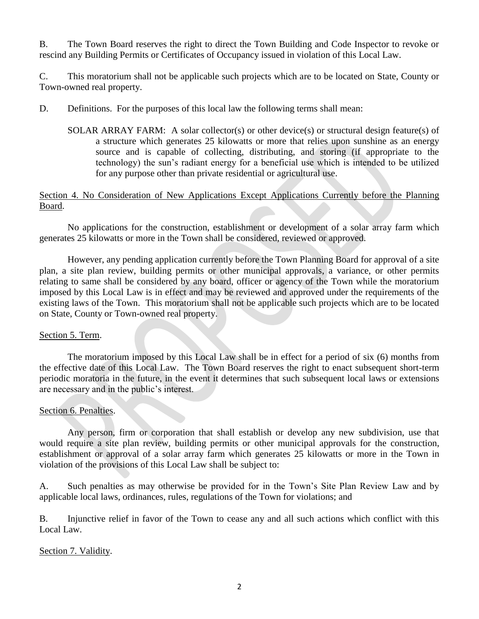B. The Town Board reserves the right to direct the Town Building and Code Inspector to revoke or rescind any Building Permits or Certificates of Occupancy issued in violation of this Local Law.

C. This moratorium shall not be applicable such projects which are to be located on State, County or Town-owned real property.

D. Definitions. For the purposes of this local law the following terms shall mean:

SOLAR ARRAY FARM: A solar collector(s) or other device(s) or structural design feature(s) of a structure which generates 25 kilowatts or more that relies upon sunshine as an energy source and is capable of collecting, distributing, and storing (if appropriate to the technology) the sun's radiant energy for a beneficial use which is intended to be utilized for any purpose other than private residential or agricultural use.

Section 4. No Consideration of New Applications Except Applications Currently before the Planning Board.

No applications for the construction, establishment or development of a solar array farm which generates 25 kilowatts or more in the Town shall be considered, reviewed or approved.

However, any pending application currently before the Town Planning Board for approval of a site plan, a site plan review, building permits or other municipal approvals, a variance, or other permits relating to same shall be considered by any board, officer or agency of the Town while the moratorium imposed by this Local Law is in effect and may be reviewed and approved under the requirements of the existing laws of the Town. This moratorium shall not be applicable such projects which are to be located on State, County or Town-owned real property.

# Section 5. Term.

The moratorium imposed by this Local Law shall be in effect for a period of six (6) months from the effective date of this Local Law. The Town Board reserves the right to enact subsequent short-term periodic moratoria in the future, in the event it determines that such subsequent local laws or extensions are necessary and in the public's interest.

# Section 6. Penalties.

Any person, firm or corporation that shall establish or develop any new subdivision, use that would require a site plan review, building permits or other municipal approvals for the construction, establishment or approval of a solar array farm which generates 25 kilowatts or more in the Town in violation of the provisions of this Local Law shall be subject to:

A. Such penalties as may otherwise be provided for in the Town's Site Plan Review Law and by applicable local laws, ordinances, rules, regulations of the Town for violations; and

B. Injunctive relief in favor of the Town to cease any and all such actions which conflict with this Local Law.

Section 7. Validity.